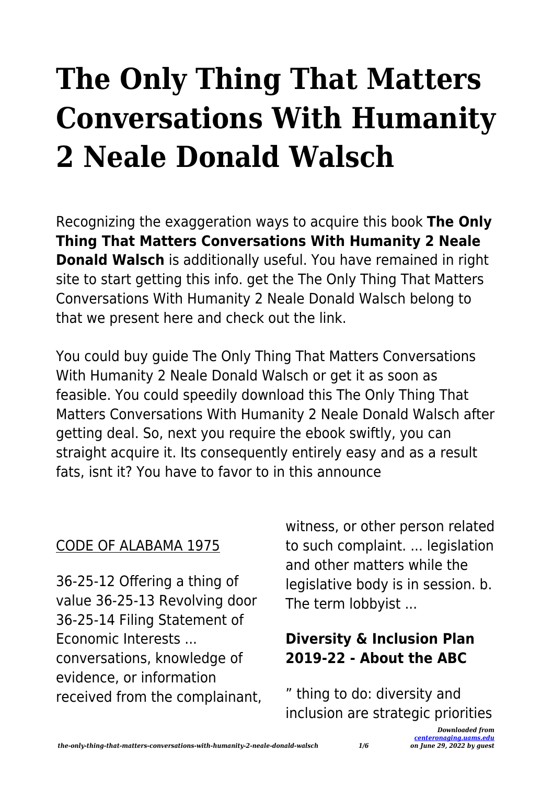# **The Only Thing That Matters Conversations With Humanity 2 Neale Donald Walsch**

Recognizing the exaggeration ways to acquire this book **The Only Thing That Matters Conversations With Humanity 2 Neale Donald Walsch** is additionally useful. You have remained in right site to start getting this info. get the The Only Thing That Matters Conversations With Humanity 2 Neale Donald Walsch belong to that we present here and check out the link.

You could buy guide The Only Thing That Matters Conversations With Humanity 2 Neale Donald Walsch or get it as soon as feasible. You could speedily download this The Only Thing That Matters Conversations With Humanity 2 Neale Donald Walsch after getting deal. So, next you require the ebook swiftly, you can straight acquire it. Its consequently entirely easy and as a result fats, isnt it? You have to favor to in this announce

#### CODE OF ALABAMA 1975

36-25-12 Offering a thing of value 36-25-13 Revolving door 36-25-14 Filing Statement of Economic Interests ... conversations, knowledge of evidence, or information received from the complainant, witness, or other person related to such complaint. ... legislation and other matters while the legislative body is in session. b. The term lobbyist ...

# **Diversity & Inclusion Plan 2019-22 - About the ABC**

" thing to do: diversity and inclusion are strategic priorities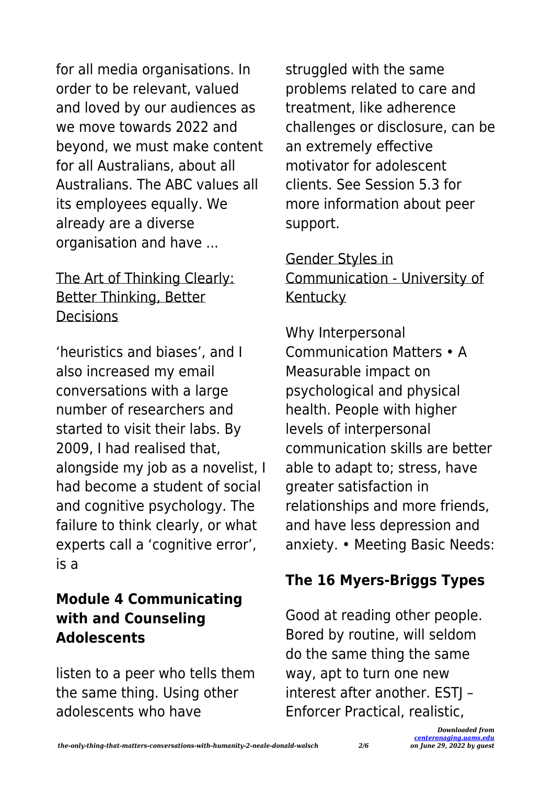for all media organisations. In order to be relevant, valued and loved by our audiences as we move towards 2022 and beyond, we must make content for all Australians, about all Australians. The ABC values all its employees equally. We already are a diverse organisation and have ...

# The Art of Thinking Clearly: Better Thinking, Better Decisions

'heuristics and biases', and I also increased my email conversations with a large number of researchers and started to visit their labs. By 2009, I had realised that, alongside my job as a novelist, I had become a student of social and cognitive psychology. The failure to think clearly, or what experts call a 'cognitive error', is a

## **Module 4 Communicating with and Counseling Adolescents**

listen to a peer who tells them the same thing. Using other adolescents who have

struggled with the same problems related to care and treatment, like adherence challenges or disclosure, can be an extremely effective motivator for adolescent clients. See Session 5.3 for more information about peer support.

# Gender Styles in Communication - University of Kentucky

Why Interpersonal Communication Matters • A Measurable impact on psychological and physical health. People with higher levels of interpersonal communication skills are better able to adapt to; stress, have greater satisfaction in relationships and more friends, and have less depression and anxiety. • Meeting Basic Needs:

# **The 16 Myers-Briggs Types**

Good at reading other people. Bored by routine, will seldom do the same thing the same way, apt to turn one new interest after another. ESTJ -Enforcer Practical, realistic,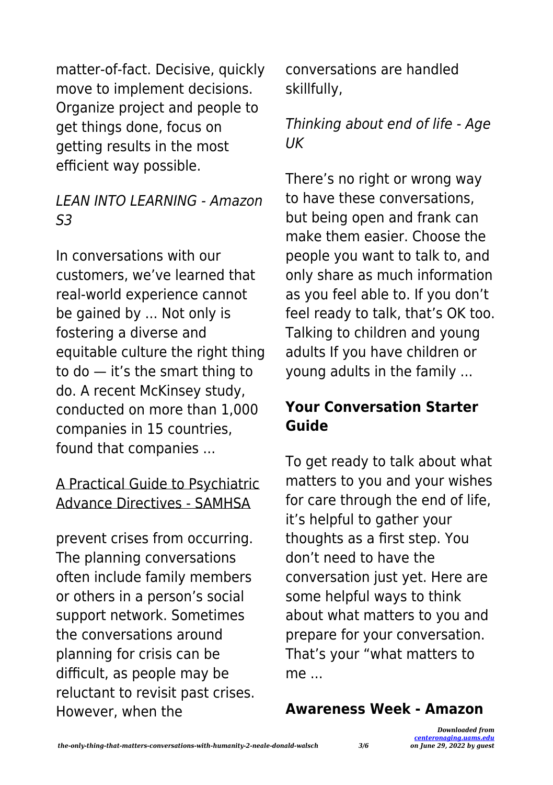matter-of-fact. Decisive, quickly move to implement decisions. Organize project and people to get things done, focus on getting results in the most efficient way possible.

#### LEAN INTO LEARNING - Amazon  $53$

In conversations with our customers, we've learned that real-world experience cannot be gained by ... Not only is fostering a diverse and equitable culture the right thing to do — it's the smart thing to do. A recent McKinsey study, conducted on more than 1,000 companies in 15 countries, found that companies ...

#### A Practical Guide to Psychiatric Advance Directives - SAMHSA

prevent crises from occurring. The planning conversations often include family members or others in a person's social support network. Sometimes the conversations around planning for crisis can be difficult, as people may be reluctant to revisit past crises. However, when the

conversations are handled skillfully,

# Thinking about end of life - Age **IIK**

There's no right or wrong way to have these conversations, but being open and frank can make them easier. Choose the people you want to talk to, and only share as much information as you feel able to. If you don't feel ready to talk, that's OK too. Talking to children and young adults If you have children or young adults in the family ...

## **Your Conversation Starter Guide**

To get ready to talk about what matters to you and your wishes for care through the end of life, it's helpful to gather your thoughts as a first step. You don't need to have the conversation just yet. Here are some helpful ways to think about what matters to you and prepare for your conversation. That's your "what matters to me ...

#### **Awareness Week - Amazon**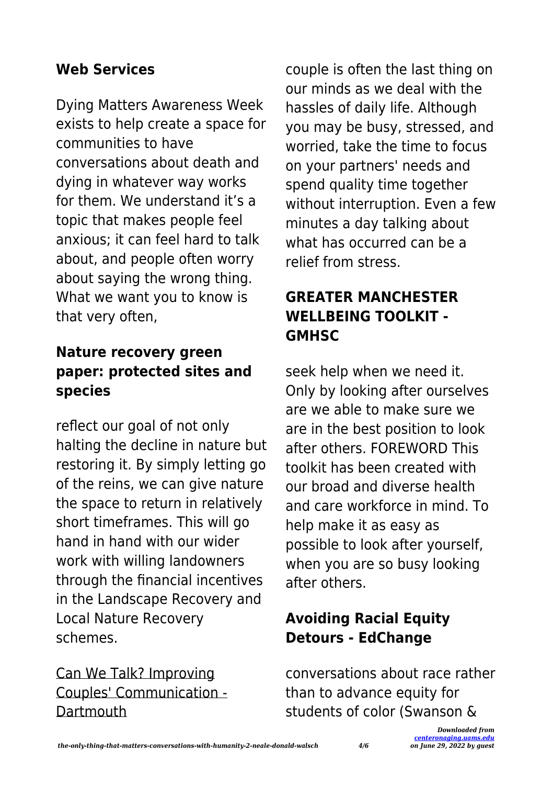# **Web Services**

Dying Matters Awareness Week exists to help create a space for communities to have conversations about death and dying in whatever way works for them. We understand it's a topic that makes people feel anxious; it can feel hard to talk about, and people often worry about saying the wrong thing. What we want you to know is that very often,

# **Nature recovery green paper: protected sites and species**

reflect our goal of not only halting the decline in nature but restoring it. By simply letting go of the reins, we can give nature the space to return in relatively short timeframes. This will go hand in hand with our wider work with willing landowners through the financial incentives in the Landscape Recovery and Local Nature Recovery schemes.

# Can We Talk? Improving Couples' Communication - **Dartmouth**

couple is often the last thing on our minds as we deal with the hassles of daily life. Although you may be busy, stressed, and worried, take the time to focus on your partners' needs and spend quality time together without interruption. Even a few minutes a day talking about what has occurred can be a relief from stress.

# **GREATER MANCHESTER WELLBEING TOOLKIT - GMHSC**

seek help when we need it. Only by looking after ourselves are we able to make sure we are in the best position to look after others. FOREWORD This toolkit has been created with our broad and diverse health and care workforce in mind. To help make it as easy as possible to look after yourself, when you are so busy looking after others.

# **Avoiding Racial Equity Detours - EdChange**

conversations about race rather than to advance equity for students of color (Swanson &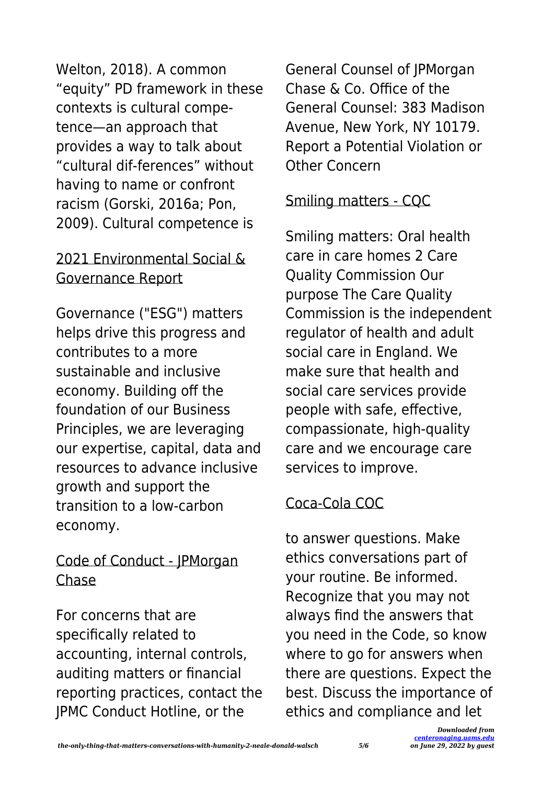Welton, 2018). A common "equity" PD framework in these contexts is cultural competence—an approach that provides a way to talk about "cultural dif-ferences" without having to name or confront racism (Gorski, 2016a; Pon, 2009). Cultural competence is

## 2021 Environmental Social & Governance Report

Governance ("ESG") matters helps drive this progress and contributes to a more sustainable and inclusive economy. Building off the foundation of our Business Principles, we are leveraging our expertise, capital, data and resources to advance inclusive growth and support the transition to a low-carbon economy.

# Code of Conduct - JPMorgan Chase

For concerns that are specifically related to accounting, internal controls, auditing matters or financial reporting practices, contact the JPMC Conduct Hotline, or the

General Counsel of JPMorgan Chase & Co. Office of the General Counsel: 383 Madison Avenue, New York, NY 10179. Report a Potential Violation or Other Concern

# Smiling matters - CQC

Smiling matters: Oral health care in care homes 2 Care Quality Commission Our purpose The Care Quality Commission is the independent regulator of health and adult social care in England. We make sure that health and social care services provide people with safe, effective, compassionate, high-quality care and we encourage care services to improve.

# Coca-Cola COC

to answer questions. Make ethics conversations part of your routine. Be informed. Recognize that you may not always find the answers that you need in the Code, so know where to go for answers when there are questions. Expect the best. Discuss the importance of ethics and compliance and let